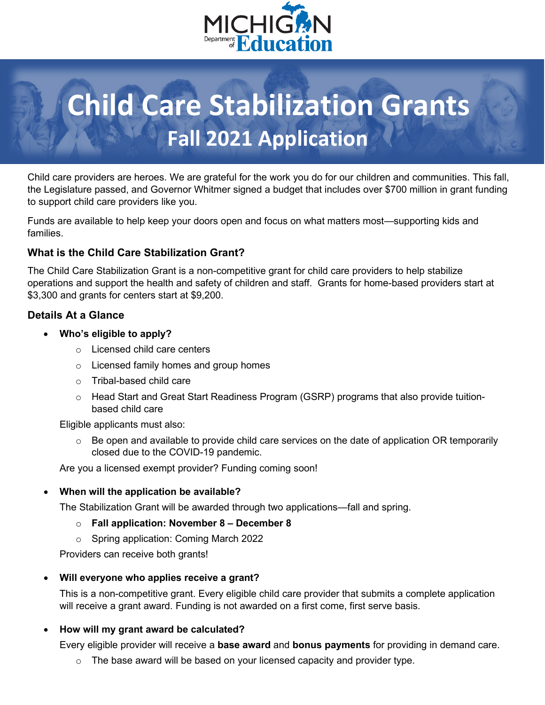

# **Child Care Stabilization Grants Fall 2021 Application**

Child care providers are heroes. We are grateful for the work you do for our children and communities. This fall, the Legislature passed, and Governor Whitmer signed a budget that includes over \$700 million in grant funding to support child care providers like you.

Funds are available to help keep your doors open and focus on what matters most—supporting kids and families.

## **What is the Child Care Stabilization Grant?**

The Child Care Stabilization Grant is a non-competitive grant for child care providers to help stabilize operations and support the health and safety of children and staff. Grants for home-based providers start at \$3,300 and grants for centers start at \$9,200.

## **Details At a Glance**

- **Who's eligible to apply?** 
	- o Licensed child care centers
	- o Licensed family homes and group homes
	- o Tribal-based child care
	- o Head Start and Great Start Readiness Program (GSRP) programs that also provide tuitionbased child care

Eligible applicants must also:

 $\circ$  Be open and available to provide child care services on the date of application OR temporarily closed due to the COVID-19 pandemic.

Are you a licensed exempt provider? Funding coming soon!

#### • **When will the application be available?**

The Stabilization Grant will be awarded through two applications—fall and spring.

- o **Fall application: November 8 – December 8**
- o Spring application: Coming March 2022

Providers can receive both grants!

#### • **Will everyone who applies receive a grant?**

This is a non-competitive grant. Every eligible child care provider that submits a complete application will receive a grant award. Funding is not awarded on a first come, first serve basis.

#### • **How will my grant award be calculated?**

Every eligible provider will receive a **base award** and **bonus payments** for providing in demand care.

 $\circ$  The base award will be based on your licensed capacity and provider type.